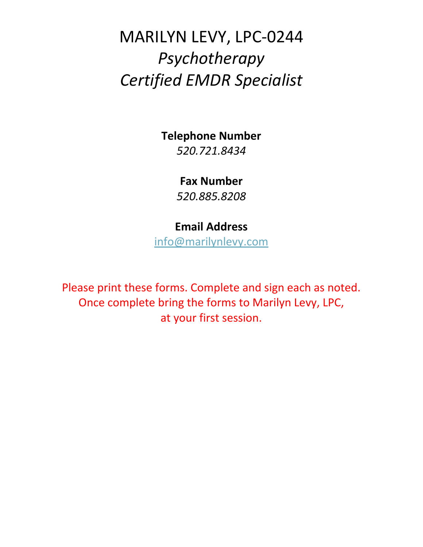# MARILYN LEVY, LPC-0244 *Psychotherapy Certified EMDR Specialist*

### **Telephone Number**

*520.721.8434*

### **Fax Number**

*520.885.8208*

# **Email Address**

[info@marilynlevy.com](mailto:info@marilynlevy.com)

Please print these forms. Complete and sign each as noted. Once complete bring the forms to Marilyn Levy, LPC, at your first session.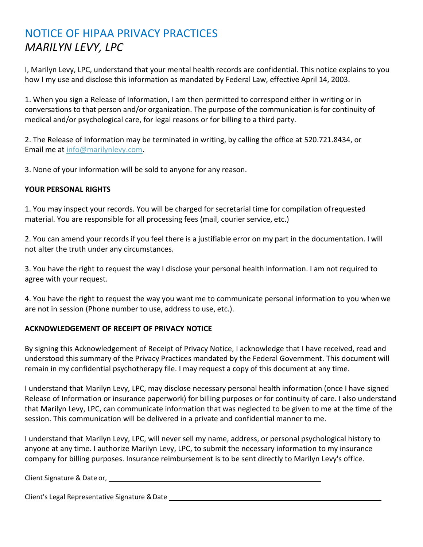# NOTICE OF HIPAA PRIVACY PRACTICES *MARILYN LEVY, LPC*

I, Marilyn Levy, LPC, understand that your mental health records are confidential. This notice explains to you how I my use and disclose this information as mandated by Federal Law, effective April 14, 2003.

1. When you sign a Release of Information, I am then permitted to correspond either in writing or in conversations to that person and/or organization. The purpose of the communication is for continuity of medical and/or psychological care, for legal reasons or for billing to a third party.

2. The Release of Information may be terminated in writing, by calling the office at 520.721.8434, or Email me at [info@marilynlevy.com.](mailto:info@marilynlevy.com)

3. None of your information will be sold to anyone for any reason.

### **YOUR PERSONAL RIGHTS**

1. You may inspect your records. You will be charged for secretarial time for compilation ofrequested material. You are responsible for all processing fees (mail, courier service, etc.)

2. You can amend your records if you feel there is a justifiable error on my part in the documentation. I will not alter the truth under any circumstances.

3. You have the right to request the way I disclose your personal health information. I am not required to agree with your request.

4. You have the right to request the way you want me to communicate personal information to you whenwe are not in session (Phone number to use, address to use, etc.).

### **ACKNOWLEDGEMENT OF RECEIPT OF PRIVACY NOTICE**

By signing this Acknowledgement of Receipt of Privacy Notice, I acknowledge that I have received, read and understood this summary of the Privacy Practices mandated by the Federal Government. This document will remain in my confidential psychotherapy file. I may request a copy of this document at any time.

I understand that Marilyn Levy, LPC, may disclose necessary personal health information (once I have signed Release of Information or insurance paperwork) for billing purposes or for continuity of care. I also understand that Marilyn Levy, LPC, can communicate information that was neglected to be given to me at the time of the session. This communication will be delivered in a private and confidential manner to me.

I understand that Marilyn Levy, LPC, will never sell my name, address, or personal psychological history to anyone at any time. I authorize Marilyn Levy, LPC, to submit the necessary information to my insurance company for billing purposes. Insurance reimbursement is to be sent directly to Marilyn Levy's office.

Client Signature & Date or,

Client's Legal Representative Signature &Date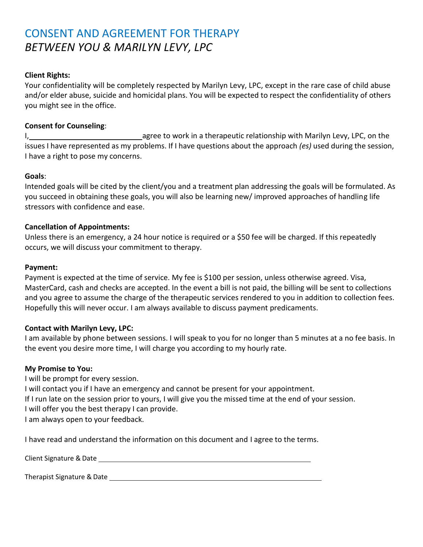# CONSENT AND AGREEMENT FOR THERAPY *BETWEEN YOU & MARILYN LEVY, LPC*

### **Client Rights:**

Your confidentiality will be completely respected by Marilyn Levy, LPC, except in the rare case of child abuse and/or elder abuse, suicide and homicidal plans. You will be expected to respect the confidentiality of others you might see in the office.

### **Consent for Counseling**:

I, agree to work in a therapeutic relationship with Marilyn Levy, LPC, on the issues I have represented as my problems. If I have questions about the approach *(es)* used during the session, I have a right to pose my concerns.

#### **Goals**:

Intended goals will be cited by the client/you and a treatment plan addressing the goals will be formulated. As you succeed in obtaining these goals, you will also be learning new/ improved approaches of handling life stressors with confidence and ease.

#### **Cancellation of Appointments:**

Unless there is an emergency, a 24 hour notice is required or a \$50 fee will be charged. If this repeatedly occurs, we will discuss your commitment to therapy.

#### **Payment:**

Payment is expected at the time of service. My fee is \$100 per session, unless otherwise agreed. Visa, MasterCard, cash and checks are accepted. In the event a bill is not paid, the billing will be sent to collections and you agree to assume the charge of the therapeutic services rendered to you in addition to collection fees. Hopefully this will never occur. I am always available to discuss payment predicaments.

#### **Contact with Marilyn Levy, LPC:**

I am available by phone between sessions. I will speak to you for no longer than 5 minutes at a no fee basis. In the event you desire more time, I will charge you according to my hourly rate.

#### **My Promise to You:**

I will be prompt for every session. I will contact you if I have an emergency and cannot be present for your appointment. If I run late on the session prior to yours, I will give you the missed time at the end of your session. I will offer you the best therapy I can provide. I am always open to your feedback.

I have read and understand the information on this document and I agree to the terms.

Client Signature &Date

Therapist Signature & Date and the state of the state of the state of the state of the state of the state of the state of the state of the state of the state of the state of the state of the state of the state of the state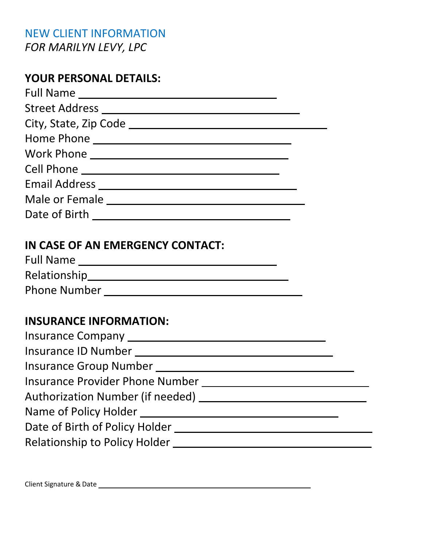# NEW CLIENT INFORMATION *FOR MARILYN LEVY, LPC*

# **YOUR PERSONAL DETAILS:**

| Full Name             |  |
|-----------------------|--|
| Street Address ______ |  |
|                       |  |
| Home Phone            |  |
|                       |  |
| Cell Phone _______    |  |
| Email Address _____   |  |
| Male or Female        |  |
| Date of Birth         |  |

### **IN CASE OF AN EMERGENCY CONTACT:**

| <b>Full Name</b>    |  |
|---------------------|--|
| Relationship        |  |
| <b>Phone Number</b> |  |

# **INSURANCE INFORMATION:**

| Insurance ID Number                    |  |
|----------------------------------------|--|
| Insurance Group Number ____________    |  |
| <b>Insurance Provider Phone Number</b> |  |
| Authorization Number (if needed)       |  |
|                                        |  |
| Date of Birth of Policy Holder ____    |  |
| <b>Relationship to Policy Holder</b>   |  |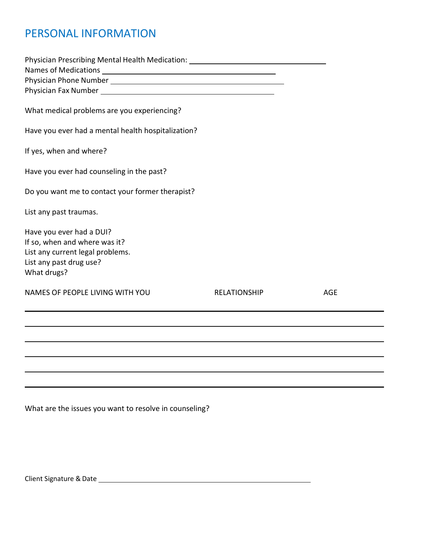# PERSONAL INFORMATION

| Physician Prescribing Mental Health Medication: ________________________________                                                        |                     |            |
|-----------------------------------------------------------------------------------------------------------------------------------------|---------------------|------------|
| What medical problems are you experiencing?                                                                                             |                     |            |
| Have you ever had a mental health hospitalization?                                                                                      |                     |            |
| If yes, when and where?                                                                                                                 |                     |            |
| Have you ever had counseling in the past?                                                                                               |                     |            |
| Do you want me to contact your former therapist?                                                                                        |                     |            |
| List any past traumas.                                                                                                                  |                     |            |
| Have you ever had a DUI?<br>If so, when and where was it?<br>List any current legal problems.<br>List any past drug use?<br>What drugs? |                     |            |
| NAMES OF PEOPLE LIVING WITH YOU                                                                                                         | <b>RELATIONSHIP</b> | <b>AGE</b> |
|                                                                                                                                         |                     |            |
|                                                                                                                                         |                     |            |
|                                                                                                                                         |                     |            |
|                                                                                                                                         |                     |            |

What are the issues you want to resolve in counseling?

Client Signature &Date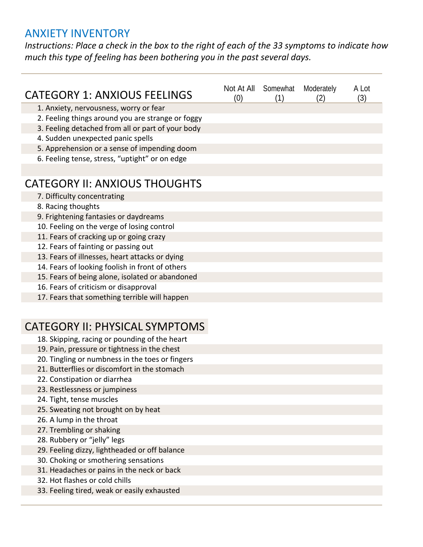### ANXIETY INVENTORY

*Instructions: Place a check in the box to the right of each of the 33 symptoms to indicate how much this type of feeling has been bothering you in the past several days.*

| <b>CATEGORY 1: ANXIOUS FEELINGS</b>               | (0) | Not At All Somewhat<br>(1) | Moderately<br>(2) | A I ot<br>(3) |
|---------------------------------------------------|-----|----------------------------|-------------------|---------------|
| 1. Anxiety, nervousness, worry or fear            |     |                            |                   |               |
| 2. Feeling things around you are strange or foggy |     |                            |                   |               |
| 3. Feeling detached from all or part of your body |     |                            |                   |               |
| 4. Sudden unexpected panic spells                 |     |                            |                   |               |
| 5. Apprehension or a sense of impending doom      |     |                            |                   |               |
| 6. Feeling tense, stress, "uptight" or on edge    |     |                            |                   |               |
|                                                   |     |                            |                   |               |
| <b>CATEGORY II: ANXIOUS THOUGHTS</b>              |     |                            |                   |               |
| 7. Difficulty concentrating                       |     |                            |                   |               |
| 8. Racing thoughts                                |     |                            |                   |               |
| 9. Frightening fantasies or daydreams             |     |                            |                   |               |
| 10. Feeling on the verge of losing control        |     |                            |                   |               |
| 11. Fears of cracking up or going crazy           |     |                            |                   |               |
| 12. Fears of fainting or passing out              |     |                            |                   |               |
| 13. Fears of illnesses, heart attacks or dying    |     |                            |                   |               |
| 14. Fears of looking foolish in front of others   |     |                            |                   |               |
| 15. Fears of being alone, isolated or abandoned   |     |                            |                   |               |
| 16. Fears of criticism or disapproval             |     |                            |                   |               |
| 17. Fears that something terrible will happen     |     |                            |                   |               |

# CATEGORY II: PHYSICAL SYMPTOMS

- 18. Skipping, racing or pounding of the heart
- 19. Pain, pressure or tightness in the chest
- 20. Tingling or numbness in the toes or fingers
- 21. Butterflies or discomfort in the stomach
- 22. Constipation or diarrhea
- 23. Restlessness or jumpiness
- 24. Tight, tense muscles
- 25. Sweating not brought on by heat
- 26. A lump in the throat
- 27. Trembling or shaking
- 28. Rubbery or "jelly" legs
- 29. Feeling dizzy, lightheaded or off balance
- 30. Choking or smothering sensations
- 31. Headaches or pains in the neck or back
- 32. Hot flashes or cold chills
- 33. Feeling tired, weak or easily exhausted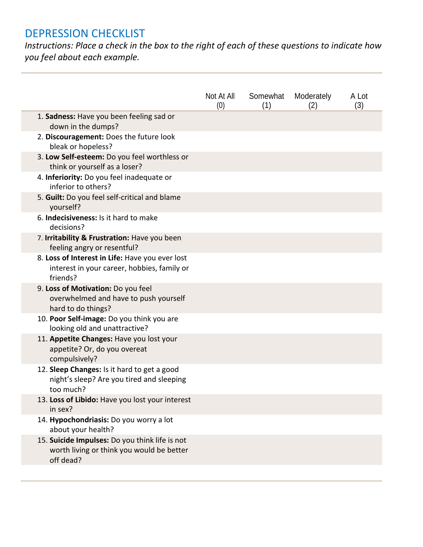# DEPRESSION CHECKLIST

*Instructions: Place a check in the box to the right of each of these questions to indicate how you feel about each example.*

|                                                                                                            | Not At All<br>(0) | Somewhat<br>(1) | Moderately<br>(2) | A Lot<br>(3) |
|------------------------------------------------------------------------------------------------------------|-------------------|-----------------|-------------------|--------------|
| 1. Sadness: Have you been feeling sad or<br>down in the dumps?                                             |                   |                 |                   |              |
| 2. Discouragement: Does the future look<br>bleak or hopeless?                                              |                   |                 |                   |              |
| 3. Low Self-esteem: Do you feel worthless or<br>think or yourself as a loser?                              |                   |                 |                   |              |
| 4. Inferiority: Do you feel inadequate or<br>inferior to others?                                           |                   |                 |                   |              |
| 5. Guilt: Do you feel self-critical and blame<br>yourself?                                                 |                   |                 |                   |              |
| 6. Indecisiveness: Is it hard to make<br>decisions?                                                        |                   |                 |                   |              |
| 7. Irritability & Frustration: Have you been<br>feeling angry or resentful?                                |                   |                 |                   |              |
| 8. Loss of Interest in Life: Have you ever lost<br>interest in your career, hobbies, family or<br>friends? |                   |                 |                   |              |
| 9. Loss of Motivation: Do you feel<br>overwhelmed and have to push yourself<br>hard to do things?          |                   |                 |                   |              |
| 10. Poor Self-image: Do you think you are<br>looking old and unattractive?                                 |                   |                 |                   |              |
| 11. Appetite Changes: Have you lost your<br>appetite? Or, do you overeat<br>compulsively?                  |                   |                 |                   |              |
| 12. Sleep Changes: Is it hard to get a good<br>night's sleep? Are you tired and sleeping<br>too much?      |                   |                 |                   |              |
| 13. Loss of Libido: Have you lost your interest<br>in sex?                                                 |                   |                 |                   |              |
| 14. Hypochondriasis: Do you worry a lot<br>about your health?                                              |                   |                 |                   |              |
| 15. Suicide Impulses: Do you think life is not<br>worth living or think you would be better<br>off dead?   |                   |                 |                   |              |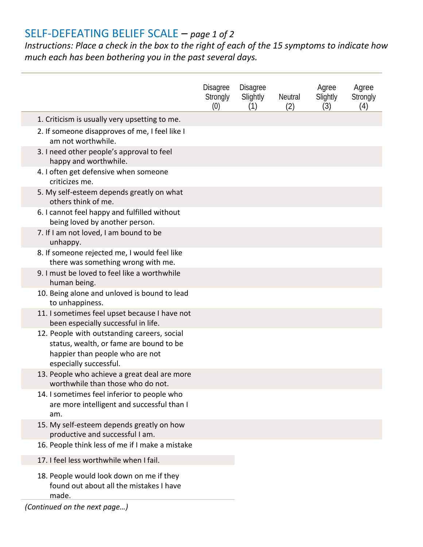# SELF-DEFEATING BELIEF SCALE – *page 1 of 2*

*Instructions: Place a check in the box to the right of each of the 15 symptoms to indicate how much each has been bothering you in the past several days.*

|                                                                                                                                                     | <b>Disagree</b><br>Strongly<br>(0) | <b>Disagree</b><br>Slightly<br>(1) | <b>Neutral</b><br>(2) | Agree<br>Slightly<br>(3) | Agree<br>Strongly<br>(4) |
|-----------------------------------------------------------------------------------------------------------------------------------------------------|------------------------------------|------------------------------------|-----------------------|--------------------------|--------------------------|
| 1. Criticism is usually very upsetting to me.                                                                                                       |                                    |                                    |                       |                          |                          |
| 2. If someone disapproves of me, I feel like I<br>am not worthwhile.<br>3. I need other people's approval to feel<br>happy and worthwhile.          |                                    |                                    |                       |                          |                          |
| 4. I often get defensive when someone<br>criticizes me.                                                                                             |                                    |                                    |                       |                          |                          |
| 5. My self-esteem depends greatly on what<br>others think of me.                                                                                    |                                    |                                    |                       |                          |                          |
| 6. I cannot feel happy and fulfilled without<br>being loved by another person.                                                                      |                                    |                                    |                       |                          |                          |
| 7. If I am not loved, I am bound to be<br>unhappy.                                                                                                  |                                    |                                    |                       |                          |                          |
| 8. If someone rejected me, I would feel like<br>there was something wrong with me.                                                                  |                                    |                                    |                       |                          |                          |
| 9. I must be loved to feel like a worthwhile<br>human being.                                                                                        |                                    |                                    |                       |                          |                          |
| 10. Being alone and unloved is bound to lead<br>to unhappiness.                                                                                     |                                    |                                    |                       |                          |                          |
| 11. I sometimes feel upset because I have not<br>been especially successful in life.                                                                |                                    |                                    |                       |                          |                          |
| 12. People with outstanding careers, social<br>status, wealth, or fame are bound to be<br>happier than people who are not<br>especially successful. |                                    |                                    |                       |                          |                          |
| 13. People who achieve a great deal are more<br>worthwhile than those who do not.                                                                   |                                    |                                    |                       |                          |                          |
| 14. I sometimes feel inferior to people who<br>are more intelligent and successful than I<br>am.                                                    |                                    |                                    |                       |                          |                          |
| 15. My self-esteem depends greatly on how<br>productive and successful I am.                                                                        |                                    |                                    |                       |                          |                          |
| 16. People think less of me if I make a mistake                                                                                                     |                                    |                                    |                       |                          |                          |
| 17. I feel less worthwhile when I fail.                                                                                                             |                                    |                                    |                       |                          |                          |
| 18. People would look down on me if they<br>found out about all the mistakes I have<br>made.                                                        |                                    |                                    |                       |                          |                          |

*(Continued on the next page…)*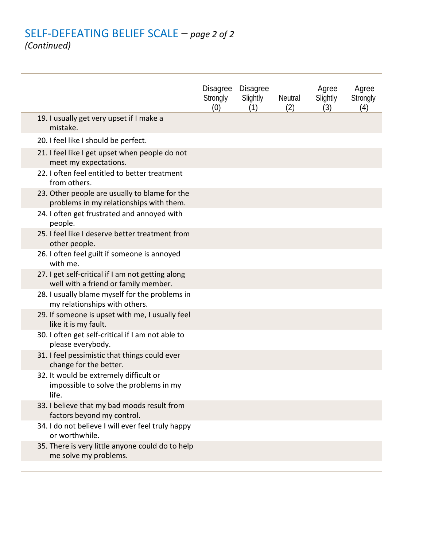### SELF-DEFEATING BELIEF SCALE – *page 2 of 2 (Continued)*

|                                                                                           | <b>Disagree</b><br>Strongly<br>(0) | <b>Disagree</b><br>Slightly<br>(1) | <b>Neutral</b><br>(2) | Agree<br>Slightly<br>(3) | Agree<br>Strongly<br>(4) |
|-------------------------------------------------------------------------------------------|------------------------------------|------------------------------------|-----------------------|--------------------------|--------------------------|
| 19. I usually get very upset if I make a<br>mistake.                                      |                                    |                                    |                       |                          |                          |
| 20. I feel like I should be perfect.                                                      |                                    |                                    |                       |                          |                          |
| 21. I feel like I get upset when people do not<br>meet my expectations.                   |                                    |                                    |                       |                          |                          |
| 22. I often feel entitled to better treatment<br>from others.                             |                                    |                                    |                       |                          |                          |
| 23. Other people are usually to blame for the<br>problems in my relationships with them.  |                                    |                                    |                       |                          |                          |
| 24. I often get frustrated and annoyed with<br>people.                                    |                                    |                                    |                       |                          |                          |
| 25. I feel like I deserve better treatment from<br>other people.                          |                                    |                                    |                       |                          |                          |
| 26. I often feel guilt if someone is annoyed<br>with me.                                  |                                    |                                    |                       |                          |                          |
| 27. I get self-critical if I am not getting along<br>well with a friend or family member. |                                    |                                    |                       |                          |                          |
| 28. I usually blame myself for the problems in<br>my relationships with others.           |                                    |                                    |                       |                          |                          |
| 29. If someone is upset with me, I usually feel<br>like it is my fault.                   |                                    |                                    |                       |                          |                          |
| 30. I often get self-critical if I am not able to<br>please everybody.                    |                                    |                                    |                       |                          |                          |
| 31. I feel pessimistic that things could ever<br>change for the better.                   |                                    |                                    |                       |                          |                          |
| 32. It would be extremely difficult or<br>impossible to solve the problems in my<br>life. |                                    |                                    |                       |                          |                          |
| 33. I believe that my bad moods result from<br>factors beyond my control.                 |                                    |                                    |                       |                          |                          |
| 34. I do not believe I will ever feel truly happy<br>or worthwhile.                       |                                    |                                    |                       |                          |                          |
| 35. There is very little anyone could do to help<br>me solve my problems.                 |                                    |                                    |                       |                          |                          |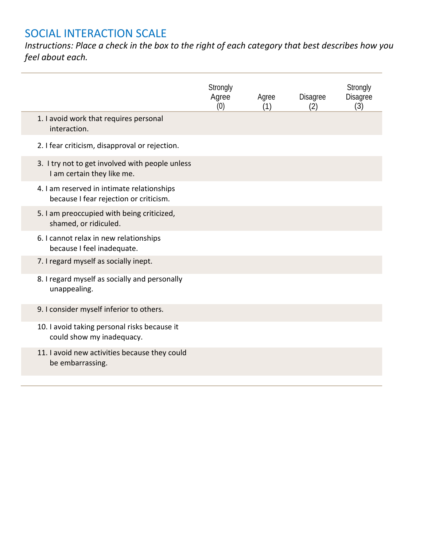# SOCIAL INTERACTION SCALE

*Instructions: Place a check in the box to the right of each category that best describes how you feel about each.*

|                       |                                                                                      | Strongly<br>Agree<br>(0) | Agree<br>(1) | <b>Disagree</b><br>(2) | Strongly<br><b>Disagree</b><br>(3) |
|-----------------------|--------------------------------------------------------------------------------------|--------------------------|--------------|------------------------|------------------------------------|
| interaction.          | 1. I avoid work that requires personal                                               |                          |              |                        |                                    |
|                       | 2. I fear criticism, disapproval or rejection.                                       |                          |              |                        |                                    |
|                       | 3. I try not to get involved with people unless<br>I am certain they like me.        |                          |              |                        |                                    |
|                       | 4. I am reserved in intimate relationships<br>because I fear rejection or criticism. |                          |              |                        |                                    |
| shamed, or ridiculed. | 5. I am preoccupied with being criticized,                                           |                          |              |                        |                                    |
|                       | 6. I cannot relax in new relationships<br>because I feel inadequate.                 |                          |              |                        |                                    |
|                       | 7. I regard myself as socially inept.                                                |                          |              |                        |                                    |
| unappealing.          | 8. I regard myself as socially and personally                                        |                          |              |                        |                                    |
|                       | 9. I consider myself inferior to others.                                             |                          |              |                        |                                    |
|                       | 10. I avoid taking personal risks because it<br>could show my inadequacy.            |                          |              |                        |                                    |
| be embarrassing.      | 11. I avoid new activities because they could                                        |                          |              |                        |                                    |
|                       |                                                                                      |                          |              |                        |                                    |